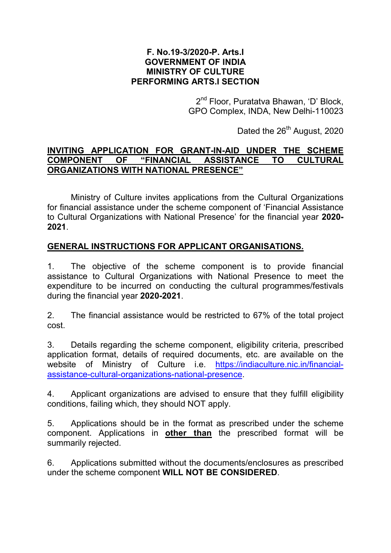## F. No.19-3/2020-P. Arts.I GOVERNMENT OF INDIA MINISTRY OF CULTURE PERFORMING ARTS.I SECTION

2<sup>nd</sup> Floor, Puratatva Bhawan, 'D' Block, GPO Complex, INDA, New Delhi-110023

Dated the 26<sup>th</sup> August, 2020

## INVITING APPLICATION FOR GRANT-IN-AID UNDER THE SCHEME COMPONENT OF "FINANCIAL ASSISTANCE TO CULTURAL ORGANIZATIONS WITH NATIONAL PRESENCE"

Ministry of Culture invites applications from the Cultural Organizations for financial assistance under the scheme component of 'Financial Assistance to Cultural Organizations with National Presence' for the financial year 2020- 2021.

## GENERAL INSTRUCTIONS FOR APPLICANT ORGANISATIONS.

1. The objective of the scheme component is to provide financial assistance to Cultural Organizations with National Presence to meet the expenditure to be incurred on conducting the cultural programmes/festivals during the financial year 2020-2021.

2. The financial assistance would be restricted to 67% of the total project cost.

3. Details regarding the scheme component, eligibility criteria, prescribed application format, details of required documents, etc. are available on the website of Ministry of Culture i.e. https://indiaculture.nic.in/financialassistance-cultural-organizations-national-presence.

4. Applicant organizations are advised to ensure that they fulfill eligibility conditions, failing which, they should NOT apply.

5. Applications should be in the format as prescribed under the scheme component. Applications in other than the prescribed format will be summarily rejected.

6. Applications submitted without the documents/enclosures as prescribed under the scheme component WILL NOT BE CONSIDERED.